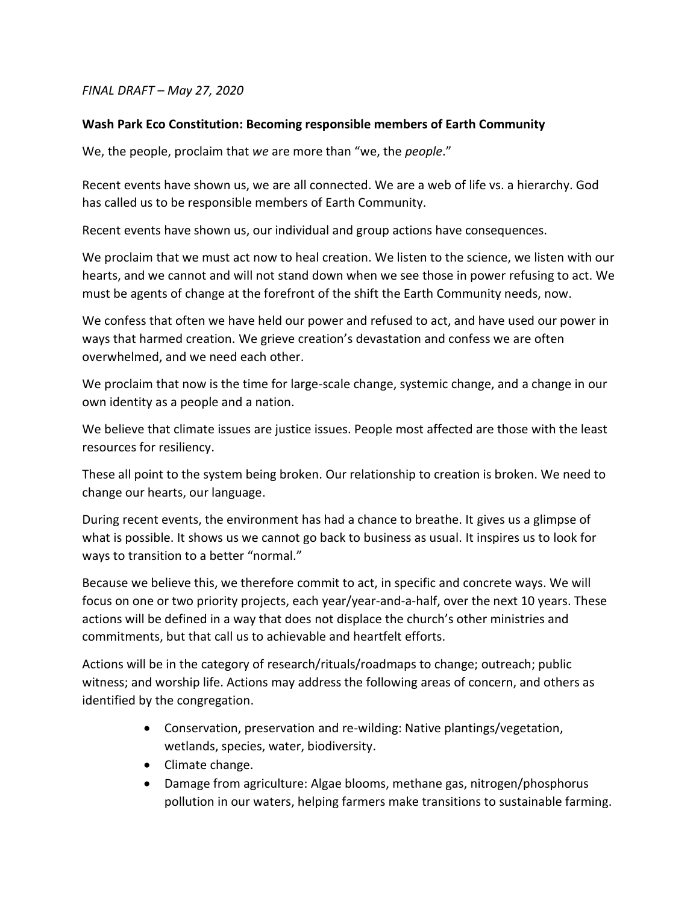## *FINAL DRAFT – May 27, 2020*

## **Wash Park Eco Constitution: Becoming responsible members of Earth Community**

We, the people, proclaim that *we* are more than "we, the *people*."

Recent events have shown us, we are all connected. We are a web of life vs. a hierarchy. God has called us to be responsible members of Earth Community.

Recent events have shown us, our individual and group actions have consequences.

We proclaim that we must act now to heal creation. We listen to the science, we listen with our hearts, and we cannot and will not stand down when we see those in power refusing to act. We must be agents of change at the forefront of the shift the Earth Community needs, now.

We confess that often we have held our power and refused to act, and have used our power in ways that harmed creation. We grieve creation's devastation and confess we are often overwhelmed, and we need each other.

We proclaim that now is the time for large-scale change, systemic change, and a change in our own identity as a people and a nation.

We believe that climate issues are justice issues. People most affected are those with the least resources for resiliency.

These all point to the system being broken. Our relationship to creation is broken. We need to change our hearts, our language.

During recent events, the environment has had a chance to breathe. It gives us a glimpse of what is possible. It shows us we cannot go back to business as usual. It inspires us to look for ways to transition to a better "normal."

Because we believe this, we therefore commit to act, in specific and concrete ways. We will focus on one or two priority projects, each year/year-and-a-half, over the next 10 years. These actions will be defined in a way that does not displace the church's other ministries and commitments, but that call us to achievable and heartfelt efforts.

Actions will be in the category of research/rituals/roadmaps to change; outreach; public witness; and worship life. Actions may address the following areas of concern, and others as identified by the congregation.

- Conservation, preservation and re-wilding: Native plantings/vegetation, wetlands, species, water, biodiversity.
- Climate change.
- Damage from agriculture: Algae blooms, methane gas, nitrogen/phosphorus pollution in our waters, helping farmers make transitions to sustainable farming.